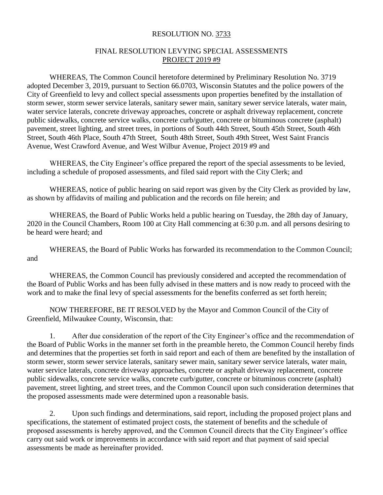## RESOLUTION NO. 3733

## FINAL RESOLUTION LEVYING SPECIAL ASSESSMENTS PROJECT 2019 #9

WHEREAS, The Common Council heretofore determined by Preliminary Resolution No. 3719 adopted December 3, 2019, pursuant to Section 66.0703, Wisconsin Statutes and the police powers of the City of Greenfield to levy and collect special assessments upon properties benefited by the installation of storm sewer, storm sewer service laterals, sanitary sewer main, sanitary sewer service laterals, water main, water service laterals, concrete driveway approaches, concrete or asphalt driveway replacement, concrete public sidewalks, concrete service walks, concrete curb/gutter, concrete or bituminous concrete (asphalt) pavement, street lighting, and street trees, in portions of South 44th Street, South 45th Street, South 46th Street, South 46th Place, South 47th Street, South 48th Street, South 49th Street, West Saint Francis Avenue, West Crawford Avenue, and West Wilbur Avenue, Project 2019 #9 and

WHEREAS, the City Engineer's office prepared the report of the special assessments to be levied, including a schedule of proposed assessments, and filed said report with the City Clerk; and

WHEREAS, notice of public hearing on said report was given by the City Clerk as provided by law, as shown by affidavits of mailing and publication and the records on file herein; and

WHEREAS, the Board of Public Works held a public hearing on Tuesday, the 28th day of January, 2020 in the Council Chambers, Room 100 at City Hall commencing at 6:30 p.m. and all persons desiring to be heard were heard; and

WHEREAS, the Board of Public Works has forwarded its recommendation to the Common Council; and

WHEREAS, the Common Council has previously considered and accepted the recommendation of the Board of Public Works and has been fully advised in these matters and is now ready to proceed with the work and to make the final levy of special assessments for the benefits conferred as set forth herein;

NOW THEREFORE, BE IT RESOLVED by the Mayor and Common Council of the City of Greenfield, Milwaukee County, Wisconsin, that:

1. After due consideration of the report of the City Engineer's office and the recommendation of the Board of Public Works in the manner set forth in the preamble hereto, the Common Council hereby finds and determines that the properties set forth in said report and each of them are benefited by the installation of storm sewer, storm sewer service laterals, sanitary sewer main, sanitary sewer service laterals, water main, water service laterals, concrete driveway approaches, concrete or asphalt driveway replacement, concrete public sidewalks, concrete service walks, concrete curb/gutter, concrete or bituminous concrete (asphalt) pavement, street lighting, and street trees, and the Common Council upon such consideration determines that the proposed assessments made were determined upon a reasonable basis.

2. Upon such findings and determinations, said report, including the proposed project plans and specifications, the statement of estimated project costs, the statement of benefits and the schedule of proposed assessments is hereby approved, and the Common Council directs that the City Engineer's office carry out said work or improvements in accordance with said report and that payment of said special assessments be made as hereinafter provided.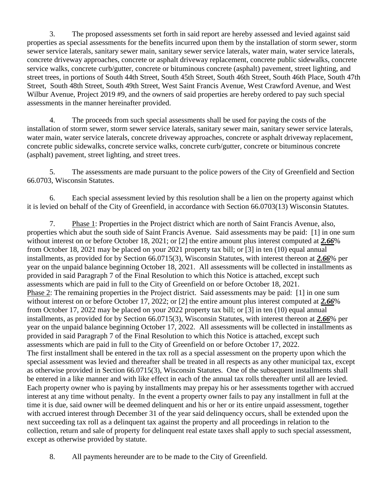3. The proposed assessments set forth in said report are hereby assessed and levied against said properties as special assessments for the benefits incurred upon them by the installation of storm sewer, storm sewer service laterals, sanitary sewer main, sanitary sewer service laterals, water main, water service laterals, concrete driveway approaches, concrete or asphalt driveway replacement, concrete public sidewalks, concrete service walks, concrete curb/gutter, concrete or bituminous concrete (asphalt) pavement, street lighting, and street trees, in portions of South 44th Street, South 45th Street, South 46th Street, South 46th Place, South 47th Street, South 48th Street, South 49th Street, West Saint Francis Avenue, West Crawford Avenue, and West Wilbur Avenue, Project 2019 #9, and the owners of said properties are hereby ordered to pay such special assessments in the manner hereinafter provided.

4. The proceeds from such special assessments shall be used for paying the costs of the installation of storm sewer, storm sewer service laterals, sanitary sewer main, sanitary sewer service laterals, water main, water service laterals, concrete driveway approaches, concrete or asphalt driveway replacement, concrete public sidewalks, concrete service walks, concrete curb/gutter, concrete or bituminous concrete (asphalt) pavement, street lighting, and street trees.

5. The assessments are made pursuant to the police powers of the City of Greenfield and Section 66.0703, Wisconsin Statutes.

6. Each special assessment levied by this resolution shall be a lien on the property against which it is levied on behalf of the City of Greenfield, in accordance with Section 66.0703(13) Wisconsin Statutes.

7. Phase 1: Properties in the Project district which are north of Saint Francis Avenue, also, properties which abut the south side of Saint Francis Avenue. Said assessments may be paid: [1] in one sum without interest on or before October 18, 2021; or [2] the entire amount plus interest computed at *2.66*% from October 18, 2021 may be placed on your 2021 property tax bill; or [3] in ten (10) equal annual installments, as provided for by Section 66.0715(3), Wisconsin Statutes, with interest thereon at *2.66*% per year on the unpaid balance beginning October 18, 2021. All assessments will be collected in installments as provided in said Paragraph 7 of the Final Resolution to which this Notice is attached, except such assessments which are paid in full to the City of Greenfield on or before October 18, 2021. Phase 2: The remaining properties in the Project district. Said assessments may be paid: [1] in one sum without interest on or before October 17, 2022; or [2] the entire amount plus interest computed at *2.66*% from October 17, 2022 may be placed on your 2022 property tax bill; or [3] in ten (10) equal annual installments, as provided for by Section 66.0715(3), Wisconsin Statutes, with interest thereon at *2.66*% per year on the unpaid balance beginning October 17, 2022. All assessments will be collected in installments as provided in said Paragraph 7 of the Final Resolution to which this Notice is attached, except such assessments which are paid in full to the City of Greenfield on or before October 17, 2022. The first installment shall be entered in the tax roll as a special assessment on the property upon which the special assessment was levied and thereafter shall be treated in all respects as any other municipal tax, except as otherwise provided in Section 66.0715(3), Wisconsin Statutes. One of the subsequent installments shall be entered in a like manner and with like effect in each of the annual tax rolls thereafter until all are levied. Each property owner who is paying by installments may prepay his or her assessments together with accrued interest at any time without penalty. In the event a property owner fails to pay any installment in full at the time it is due, said owner will be deemed delinquent and his or her or its entire unpaid assessment, together with accrued interest through December 31 of the year said delinquency occurs, shall be extended upon the next succeeding tax roll as a delinquent tax against the property and all proceedings in relation to the collection, return and sale of property for delinquent real estate taxes shall apply to such special assessment, except as otherwise provided by statute.

8. All payments hereunder are to be made to the City of Greenfield.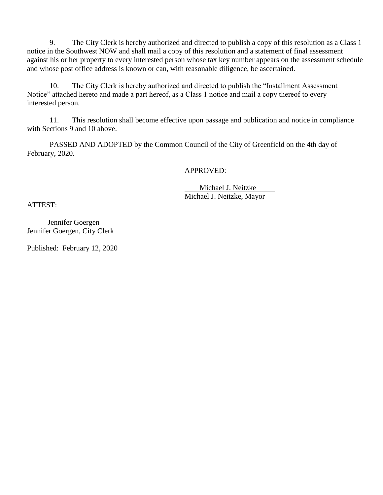9. The City Clerk is hereby authorized and directed to publish a copy of this resolution as a Class 1 notice in the Southwest NOW and shall mail a copy of this resolution and a statement of final assessment against his or her property to every interested person whose tax key number appears on the assessment schedule and whose post office address is known or can, with reasonable diligence, be ascertained.

10. The City Clerk is hereby authorized and directed to publish the "Installment Assessment Notice" attached hereto and made a part hereof, as a Class 1 notice and mail a copy thereof to every interested person.

11. This resolution shall become effective upon passage and publication and notice in compliance with Sections 9 and 10 above.

PASSED AND ADOPTED by the Common Council of the City of Greenfield on the 4th day of February, 2020.

APPROVED:

 Michael J. Neitzke Michael J. Neitzke, Mayor

ATTEST:

 Jennifer Goergen Jennifer Goergen, City Clerk

Published: February 12, 2020